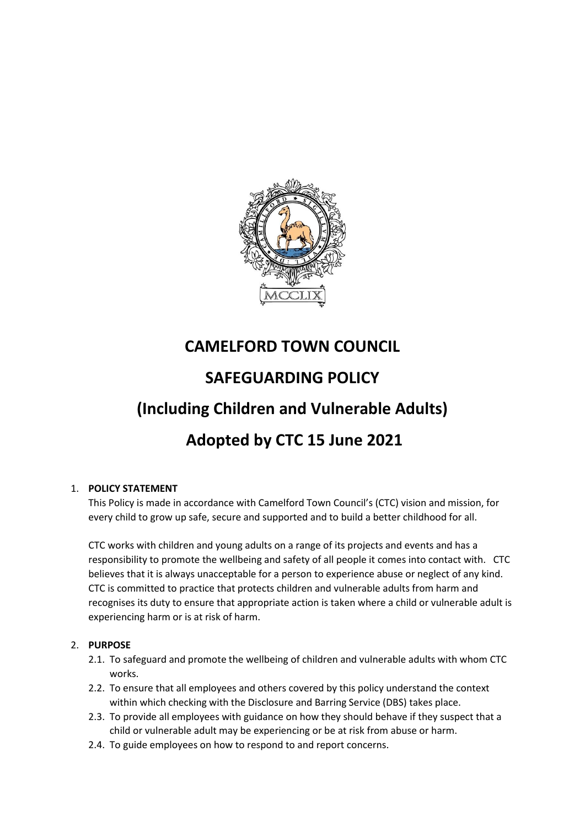

# **CAMELFORD TOWN COUNCIL**

# **SAFEGUARDING POLICY**

# **(Including Children and Vulnerable Adults)**

# **Adopted by CTC 15 June 2021**

# 1. **POLICY STATEMENT**

This Policy is made in accordance with Camelford Town Council's (CTC) vision and mission, for every child to grow up safe, secure and supported and to build a better childhood for all.

CTC works with children and young adults on a range of its projects and events and has a responsibility to promote the wellbeing and safety of all people it comes into contact with. CTC believes that it is always unacceptable for a person to experience abuse or neglect of any kind. CTC is committed to practice that protects children and vulnerable adults from harm and recognises its duty to ensure that appropriate action is taken where a child or vulnerable adult is experiencing harm or is at risk of harm.

# 2. **PURPOSE**

- 2.1. To safeguard and promote the wellbeing of children and vulnerable adults with whom CTC works.
- 2.2. To ensure that all employees and others covered by this policy understand the context within which checking with the Disclosure and Barring Service (DBS) takes place.
- 2.3. To provide all employees with guidance on how they should behave if they suspect that a child or vulnerable adult may be experiencing or be at risk from abuse or harm.
- 2.4. To guide employees on how to respond to and report concerns.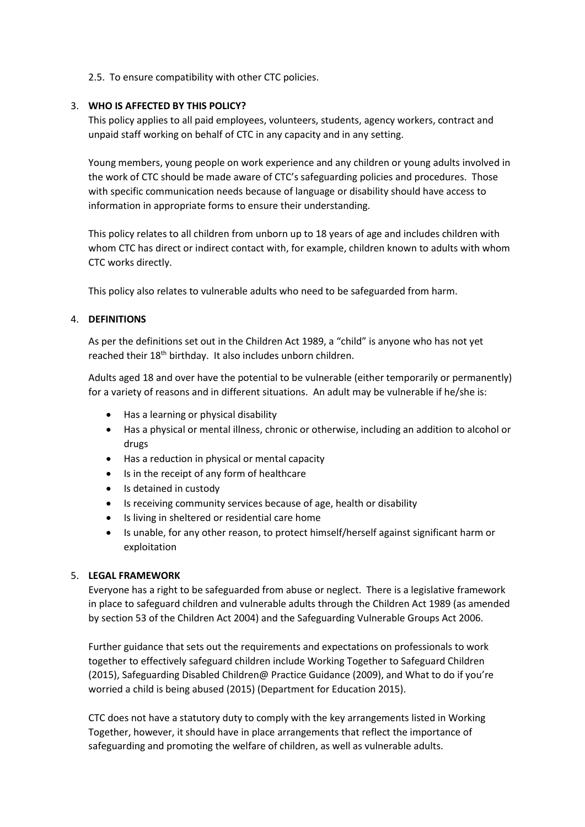### 2.5. To ensure compatibility with other CTC policies.

### 3. **WHO IS AFFECTED BY THIS POLICY?**

This policy applies to all paid employees, volunteers, students, agency workers, contract and unpaid staff working on behalf of CTC in any capacity and in any setting.

Young members, young people on work experience and any children or young adults involved in the work of CTC should be made aware of CTC's safeguarding policies and procedures. Those with specific communication needs because of language or disability should have access to information in appropriate forms to ensure their understanding.

This policy relates to all children from unborn up to 18 years of age and includes children with whom CTC has direct or indirect contact with, for example, children known to adults with whom CTC works directly.

This policy also relates to vulnerable adults who need to be safeguarded from harm.

### 4. **DEFINITIONS**

As per the definitions set out in the Children Act 1989, a "child" is anyone who has not yet reached their 18<sup>th</sup> birthday. It also includes unborn children.

Adults aged 18 and over have the potential to be vulnerable (either temporarily or permanently) for a variety of reasons and in different situations. An adult may be vulnerable if he/she is:

- Has a learning or physical disability
- Has a physical or mental illness, chronic or otherwise, including an addition to alcohol or drugs
- Has a reduction in physical or mental capacity
- Is in the receipt of any form of healthcare
- Is detained in custody
- Is receiving community services because of age, health or disability
- Is living in sheltered or residential care home
- Is unable, for any other reason, to protect himself/herself against significant harm or exploitation

#### 5. **LEGAL FRAMEWORK**

Everyone has a right to be safeguarded from abuse or neglect. There is a legislative framework in place to safeguard children and vulnerable adults through the Children Act 1989 (as amended by section 53 of the Children Act 2004) and the Safeguarding Vulnerable Groups Act 2006.

Further guidance that sets out the requirements and expectations on professionals to work together to effectively safeguard children include Working Together to Safeguard Children (2015), Safeguarding Disabled Children@ Practice Guidance (2009), and What to do if you're worried a child is being abused (2015) (Department for Education 2015).

CTC does not have a statutory duty to comply with the key arrangements listed in Working Together, however, it should have in place arrangements that reflect the importance of safeguarding and promoting the welfare of children, as well as vulnerable adults.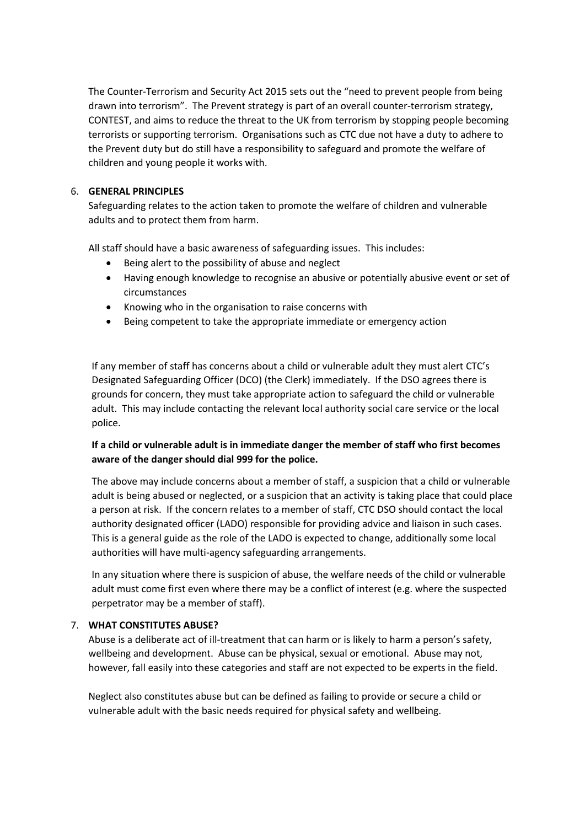The Counter-Terrorism and Security Act 2015 sets out the "need to prevent people from being drawn into terrorism". The Prevent strategy is part of an overall counter-terrorism strategy, CONTEST, and aims to reduce the threat to the UK from terrorism by stopping people becoming terrorists or supporting terrorism. Organisations such as CTC due not have a duty to adhere to the Prevent duty but do still have a responsibility to safeguard and promote the welfare of children and young people it works with.

## 6. **GENERAL PRINCIPLES**

Safeguarding relates to the action taken to promote the welfare of children and vulnerable adults and to protect them from harm.

All staff should have a basic awareness of safeguarding issues. This includes:

- Being alert to the possibility of abuse and neglect
- Having enough knowledge to recognise an abusive or potentially abusive event or set of circumstances
- Knowing who in the organisation to raise concerns with
- Being competent to take the appropriate immediate or emergency action

If any member of staff has concerns about a child or vulnerable adult they must alert CTC's Designated Safeguarding Officer (DCO) (the Clerk) immediately. If the DSO agrees there is grounds for concern, they must take appropriate action to safeguard the child or vulnerable adult. This may include contacting the relevant local authority social care service or the local police.

# **If a child or vulnerable adult is in immediate danger the member of staff who first becomes aware of the danger should dial 999 for the police.**

The above may include concerns about a member of staff, a suspicion that a child or vulnerable adult is being abused or neglected, or a suspicion that an activity is taking place that could place a person at risk. If the concern relates to a member of staff, CTC DSO should contact the local authority designated officer (LADO) responsible for providing advice and liaison in such cases. This is a general guide as the role of the LADO is expected to change, additionally some local authorities will have multi-agency safeguarding arrangements.

In any situation where there is suspicion of abuse, the welfare needs of the child or vulnerable adult must come first even where there may be a conflict of interest (e.g. where the suspected perpetrator may be a member of staff).

#### 7. **WHAT CONSTITUTES ABUSE?**

Abuse is a deliberate act of ill-treatment that can harm or is likely to harm a person's safety, wellbeing and development. Abuse can be physical, sexual or emotional. Abuse may not, however, fall easily into these categories and staff are not expected to be experts in the field.

Neglect also constitutes abuse but can be defined as failing to provide or secure a child or vulnerable adult with the basic needs required for physical safety and wellbeing.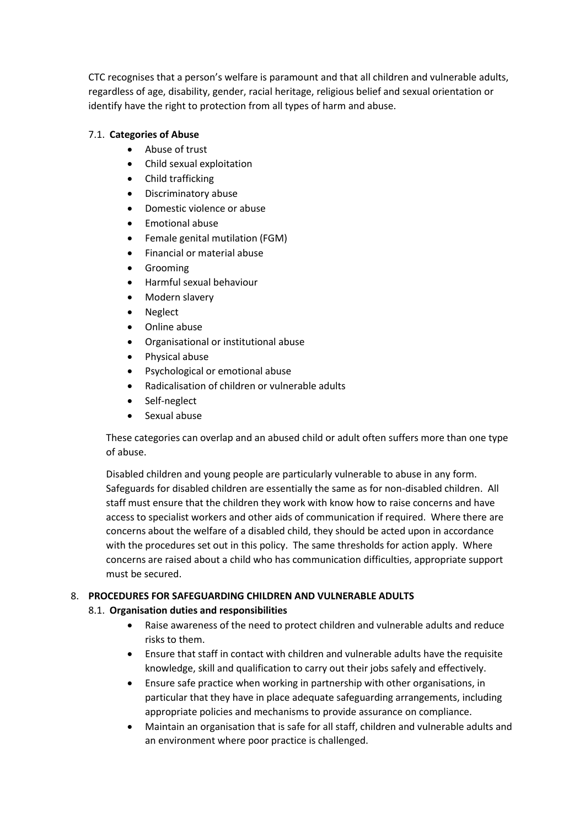CTC recognises that a person's welfare is paramount and that all children and vulnerable adults, regardless of age, disability, gender, racial heritage, religious belief and sexual orientation or identify have the right to protection from all types of harm and abuse.

# 7.1. **Categories of Abuse**

- Abuse of trust
- Child sexual exploitation
- Child trafficking
- Discriminatory abuse
- Domestic violence or abuse
- Emotional abuse
- Female genital mutilation (FGM)
- Financial or material abuse
- Grooming
- Harmful sexual behaviour
- Modern slavery
- Neglect
- Online abuse
- Organisational or institutional abuse
- Physical abuse
- Psychological or emotional abuse
- Radicalisation of children or vulnerable adults
- Self-neglect
- Sexual abuse

These categories can overlap and an abused child or adult often suffers more than one type of abuse.

Disabled children and young people are particularly vulnerable to abuse in any form. Safeguards for disabled children are essentially the same as for non-disabled children. All staff must ensure that the children they work with know how to raise concerns and have access to specialist workers and other aids of communication if required. Where there are concerns about the welfare of a disabled child, they should be acted upon in accordance with the procedures set out in this policy. The same thresholds for action apply. Where concerns are raised about a child who has communication difficulties, appropriate support must be secured.

# 8. **PROCEDURES FOR SAFEGUARDING CHILDREN AND VULNERABLE ADULTS**

# 8.1. **Organisation duties and responsibilities**

- Raise awareness of the need to protect children and vulnerable adults and reduce risks to them.
- Ensure that staff in contact with children and vulnerable adults have the requisite knowledge, skill and qualification to carry out their jobs safely and effectively.
- Ensure safe practice when working in partnership with other organisations, in particular that they have in place adequate safeguarding arrangements, including appropriate policies and mechanisms to provide assurance on compliance.
- Maintain an organisation that is safe for all staff, children and vulnerable adults and an environment where poor practice is challenged.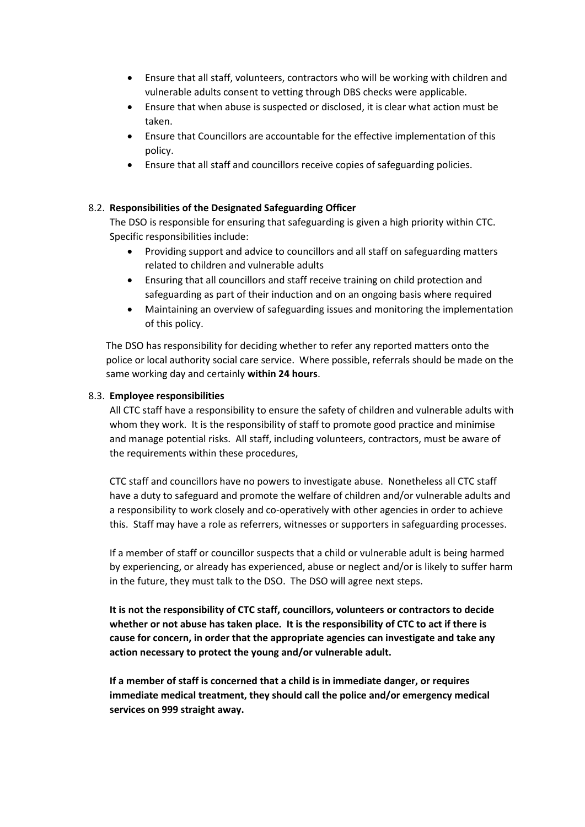- Ensure that all staff, volunteers, contractors who will be working with children and vulnerable adults consent to vetting through DBS checks were applicable.
- Ensure that when abuse is suspected or disclosed, it is clear what action must be taken.
- Ensure that Councillors are accountable for the effective implementation of this policy.
- Ensure that all staff and councillors receive copies of safeguarding policies.

## 8.2. **Responsibilities of the Designated Safeguarding Officer**

The DSO is responsible for ensuring that safeguarding is given a high priority within CTC. Specific responsibilities include:

- Providing support and advice to councillors and all staff on safeguarding matters related to children and vulnerable adults
- Ensuring that all councillors and staff receive training on child protection and safeguarding as part of their induction and on an ongoing basis where required
- Maintaining an overview of safeguarding issues and monitoring the implementation of this policy.

The DSO has responsibility for deciding whether to refer any reported matters onto the police or local authority social care service. Where possible, referrals should be made on the same working day and certainly **within 24 hours**.

### 8.3. **Employee responsibilities**

All CTC staff have a responsibility to ensure the safety of children and vulnerable adults with whom they work. It is the responsibility of staff to promote good practice and minimise and manage potential risks. All staff, including volunteers, contractors, must be aware of the requirements within these procedures,

CTC staff and councillors have no powers to investigate abuse. Nonetheless all CTC staff have a duty to safeguard and promote the welfare of children and/or vulnerable adults and a responsibility to work closely and co-operatively with other agencies in order to achieve this. Staff may have a role as referrers, witnesses or supporters in safeguarding processes.

If a member of staff or councillor suspects that a child or vulnerable adult is being harmed by experiencing, or already has experienced, abuse or neglect and/or is likely to suffer harm in the future, they must talk to the DSO. The DSO will agree next steps.

**It is not the responsibility of CTC staff, councillors, volunteers or contractors to decide whether or not abuse has taken place. It is the responsibility of CTC to act if there is cause for concern, in order that the appropriate agencies can investigate and take any action necessary to protect the young and/or vulnerable adult.**

**If a member of staff is concerned that a child is in immediate danger, or requires immediate medical treatment, they should call the police and/or emergency medical services on 999 straight away.**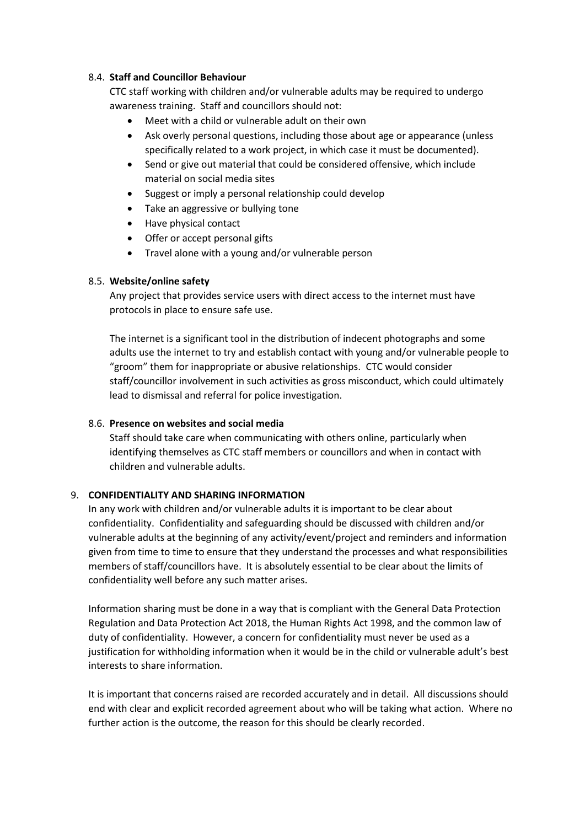### 8.4. **Staff and Councillor Behaviour**

CTC staff working with children and/or vulnerable adults may be required to undergo awareness training. Staff and councillors should not:

- Meet with a child or vulnerable adult on their own
- Ask overly personal questions, including those about age or appearance (unless specifically related to a work project, in which case it must be documented).
- Send or give out material that could be considered offensive, which include material on social media sites
- Suggest or imply a personal relationship could develop
- Take an aggressive or bullying tone
- Have physical contact
- Offer or accept personal gifts
- Travel alone with a young and/or vulnerable person

### 8.5. **Website/online safety**

Any project that provides service users with direct access to the internet must have protocols in place to ensure safe use.

The internet is a significant tool in the distribution of indecent photographs and some adults use the internet to try and establish contact with young and/or vulnerable people to "groom" them for inappropriate or abusive relationships. CTC would consider staff/councillor involvement in such activities as gross misconduct, which could ultimately lead to dismissal and referral for police investigation.

# 8.6. **Presence on websites and social media**

Staff should take care when communicating with others online, particularly when identifying themselves as CTC staff members or councillors and when in contact with children and vulnerable adults.

# 9. **CONFIDENTIALITY AND SHARING INFORMATION**

In any work with children and/or vulnerable adults it is important to be clear about confidentiality. Confidentiality and safeguarding should be discussed with children and/or vulnerable adults at the beginning of any activity/event/project and reminders and information given from time to time to ensure that they understand the processes and what responsibilities members of staff/councillors have. It is absolutely essential to be clear about the limits of confidentiality well before any such matter arises.

Information sharing must be done in a way that is compliant with the General Data Protection Regulation and Data Protection Act 2018, the Human Rights Act 1998, and the common law of duty of confidentiality. However, a concern for confidentiality must never be used as a justification for withholding information when it would be in the child or vulnerable adult's best interests to share information.

It is important that concerns raised are recorded accurately and in detail. All discussions should end with clear and explicit recorded agreement about who will be taking what action. Where no further action is the outcome, the reason for this should be clearly recorded.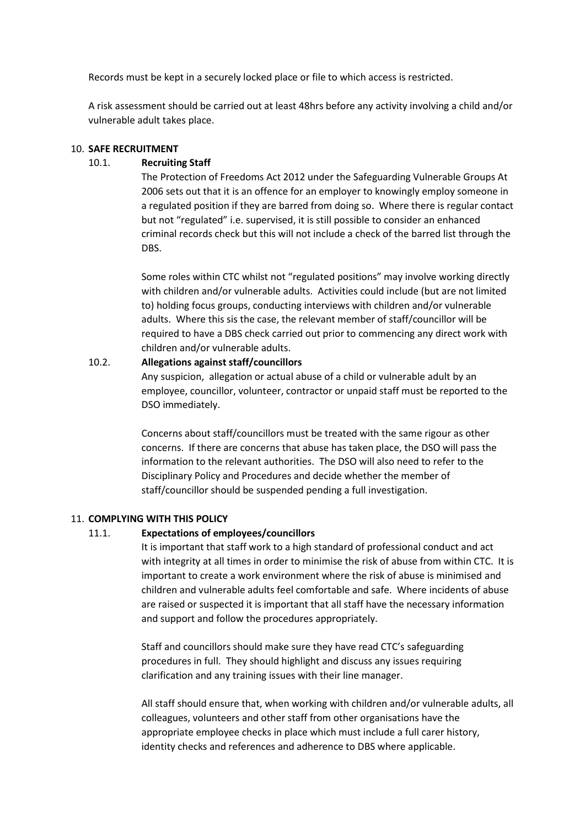Records must be kept in a securely locked place or file to which access is restricted.

A risk assessment should be carried out at least 48hrs before any activity involving a child and/or vulnerable adult takes place.

#### 10. **SAFE RECRUITMENT**

#### 10.1. **Recruiting Staff**

The Protection of Freedoms Act 2012 under the Safeguarding Vulnerable Groups At 2006 sets out that it is an offence for an employer to knowingly employ someone in a regulated position if they are barred from doing so. Where there is regular contact but not "regulated" i.e. supervised, it is still possible to consider an enhanced criminal records check but this will not include a check of the barred list through the DBS.

Some roles within CTC whilst not "regulated positions" may involve working directly with children and/or vulnerable adults. Activities could include (but are not limited to) holding focus groups, conducting interviews with children and/or vulnerable adults. Where this sis the case, the relevant member of staff/councillor will be required to have a DBS check carried out prior to commencing any direct work with children and/or vulnerable adults.

### 10.2. **Allegations against staff/councillors**

Any suspicion, allegation or actual abuse of a child or vulnerable adult by an employee, councillor, volunteer, contractor or unpaid staff must be reported to the DSO immediately.

Concerns about staff/councillors must be treated with the same rigour as other concerns. If there are concerns that abuse has taken place, the DSO will pass the information to the relevant authorities. The DSO will also need to refer to the Disciplinary Policy and Procedures and decide whether the member of staff/councillor should be suspended pending a full investigation.

#### 11. **COMPLYING WITH THIS POLICY**

#### 11.1. **Expectations of employees/councillors**

It is important that staff work to a high standard of professional conduct and act with integrity at all times in order to minimise the risk of abuse from within CTC. It is important to create a work environment where the risk of abuse is minimised and children and vulnerable adults feel comfortable and safe. Where incidents of abuse are raised or suspected it is important that all staff have the necessary information and support and follow the procedures appropriately.

Staff and councillors should make sure they have read CTC's safeguarding procedures in full. They should highlight and discuss any issues requiring clarification and any training issues with their line manager.

All staff should ensure that, when working with children and/or vulnerable adults, all colleagues, volunteers and other staff from other organisations have the appropriate employee checks in place which must include a full carer history, identity checks and references and adherence to DBS where applicable.